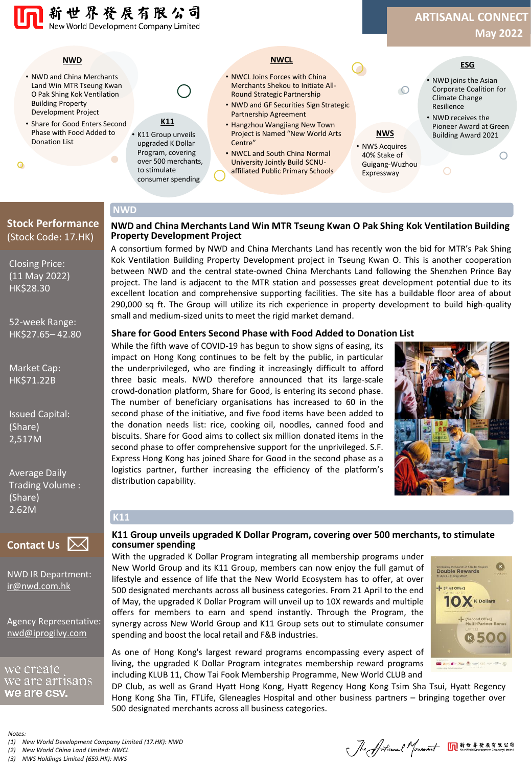

### **Stock Performance NWD**

#### **NWD and China Merchants Land Win MTR Tseung Kwan O Pak Shing Kok Ventilation Building Property Development Project**

A consortium formed by NWD and China Merchants Land has recently won the bid for MTR's Pak Shing Kok Ventilation Building Property Development project in Tseung Kwan O. This is another cooperation between NWD and the central state-owned China Merchants Land following the Shenzhen Prince Bay project. The land is adjacent to the MTR station and possesses great development potential due to its excellent location and comprehensive supporting facilities. The site has a buildable floor area of about 290,000 sq ft. The Group will utilize its rich experience in property development to build high-quality small and medium-sized units to meet the rigid market demand.

#### **Share for Good Enters Second Phase with Food Added to Donation List**

While the fifth wave of COVID-19 has begun to show signs of easing, its impact on Hong Kong continues to be felt by the public, in particular the underprivileged, who are finding it increasingly difficult to afford three basic meals. NWD therefore announced that its large-scale crowd-donation platform, Share for Good, is entering its second phase. The number of beneficiary organisations has increased to 60 in the second phase of the initiative, and five food items have been added to the donation needs list: rice, cooking oil, noodles, canned food and biscuits. Share for Good aims to collect six million donated items in the second phase to offer comprehensive support for the unprivileged. S.F. Express Hong Kong has joined Share for Good in the second phase as a logistics partner, further increasing the efficiency of the platform's distribution capability.



# **Contact Us**

**K11**

NWD IR Department: [ir@nwd.com.hk](mailto:ir@nwd.com.hk)

Closing Price: (11 May 2022) HK\$28.30

(Stock Code: 17.HK)

52-week Range: HK\$27.65– 42.80

Market Cap: HK\$71.22B

Issued Capital:

Average Daily Trading Volume :

(Share) 2,517M

(Share) 2.62M

Agency Representative: [nwd@iprogilvy.com](mailto:nwd@iprogilvy.com)

we create we are artısans we are csy.

*Notes:*

*(1) New World Development Company Limited (17.HK): NWD*

*(2) New World China Land Limited: NWCL*

*(3) NWS Holdings Limited (659.HK): NWS*

#### **K11 Group unveils upgraded K Dollar Program, covering over 500 merchants, to stimulate consumer spending**

With the upgraded K Dollar Program integrating all membership programs under New World Group and its K11 Group, members can now enjoy the full gamut of lifestyle and essence of life that the New World Ecosystem has to offer, at over 500 designated merchants across all business categories. From 21 April to the end of May, the upgraded K Dollar Program will unveil up to 10X rewards and multiple offers for members to earn and spend instantly. Through the Program, the synergy across New World Group and K11 Group sets out to stimulate consumer spending and boost the local retail and F&B industries.

**Celebrating the Lauristic of K Dollar Pr** -- [First Offer]  $10X$  K Dollars - [Second Offer]<br>Multi-Partner Boy **0500**  $\blacksquare$  Am  $\bigoplus$  700  $\stackrel{3}{\longrightarrow}$ 

As one of Hong Kong's largest reward programs encompassing every aspect of living, the upgraded K Dollar Program integrates membership reward programs including KLUB 11, Chow Tai Fook Membership Programme, New World CLUB and

DP Club, as well as Grand Hyatt Hong Kong, Hyatt Regency Hong Kong Tsim Sha Tsui, Hyatt Regency Hong Kong Sha Tin, FTLife, Gleneagles Hospital and other business partners – bringing together over 500 designated merchants across all business categories.

Jhe Artical Mouseum MATARATRAD